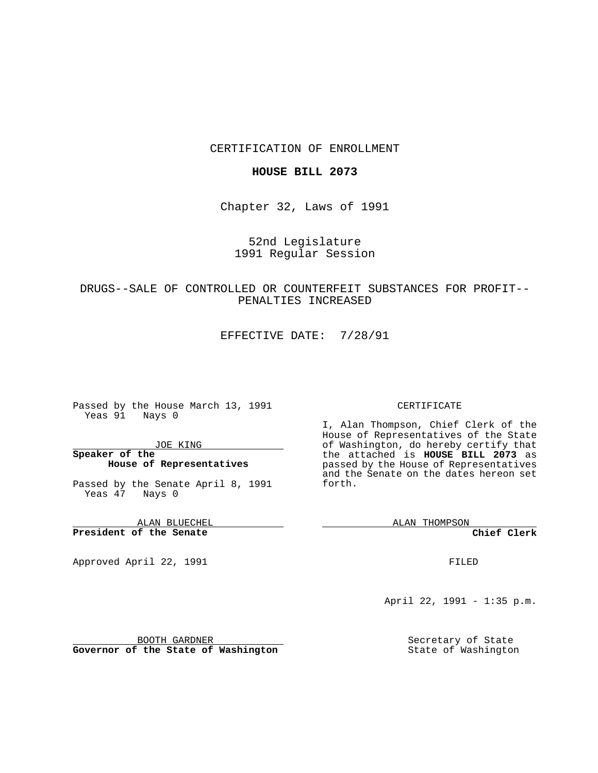#### CERTIFICATION OF ENROLLMENT

### **HOUSE BILL 2073**

Chapter 32, Laws of 1991

## 52nd Legislature 1991 Regular Session

# DRUGS--SALE OF CONTROLLED OR COUNTERFEIT SUBSTANCES FOR PROFIT-- PENALTIES INCREASED

EFFECTIVE DATE: 7/28/91

Passed by the House March 13, 1991 Yeas 91 Nays 0

JOE KING

## **Speaker of the House of Representatives**

Passed by the Senate April 8, 1991 Yeas 47 Nays 0

ALAN BLUECHEL **President of the Senate**

Approved April 22, 1991

#### CERTIFICATE

I, Alan Thompson, Chief Clerk of the House of Representatives of the State of Washington, do hereby certify that the attached is **HOUSE BILL 2073** as passed by the House of Representatives and the Senate on the dates hereon set forth.

ALAN THOMPSON

**Chief Clerk**

FILED

April 22, 1991 - 1:35 p.m.

Secretary of State State of Washington

BOOTH GARDNER

**Governor of the State of Washington**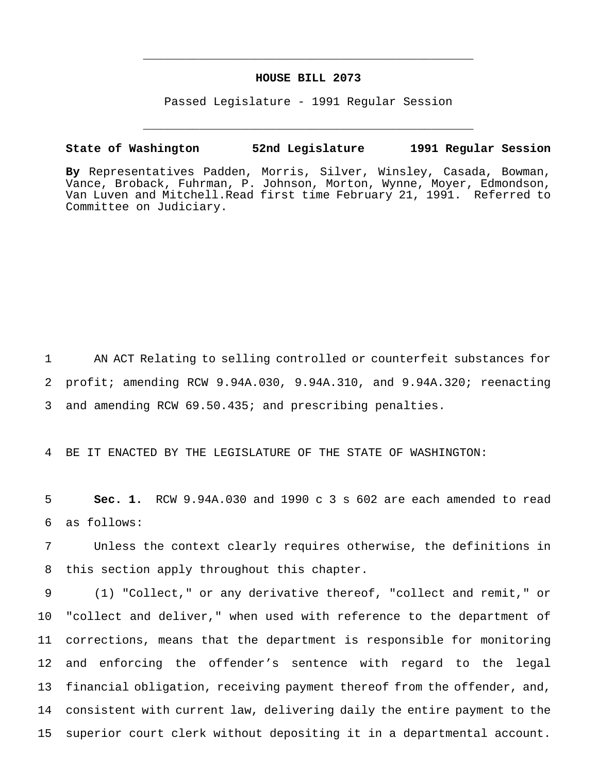### **HOUSE BILL 2073**

\_\_\_\_\_\_\_\_\_\_\_\_\_\_\_\_\_\_\_\_\_\_\_\_\_\_\_\_\_\_\_\_\_\_\_\_\_\_\_\_\_\_\_\_\_\_\_

Passed Legislature - 1991 Regular Session

\_\_\_\_\_\_\_\_\_\_\_\_\_\_\_\_\_\_\_\_\_\_\_\_\_\_\_\_\_\_\_\_\_\_\_\_\_\_\_\_\_\_\_\_\_\_\_

**State of Washington 52nd Legislature 1991 Regular Session**

**By** Representatives Padden, Morris, Silver, Winsley, Casada, Bowman, Vance, Broback, Fuhrman, P. Johnson, Morton, Wynne, Moyer, Edmondson, Van Luven and Mitchell.Read first time February 21, 1991. Referred to Committee on Judiciary.

 AN ACT Relating to selling controlled or counterfeit substances for profit; amending RCW 9.94A.030, 9.94A.310, and 9.94A.320; reenacting and amending RCW 69.50.435; and prescribing penalties.

BE IT ENACTED BY THE LEGISLATURE OF THE STATE OF WASHINGTON:

 **Sec. 1.** RCW 9.94A.030 and 1990 c 3 s 602 are each amended to read as follows:

 Unless the context clearly requires otherwise, the definitions in this section apply throughout this chapter.

 (1) "Collect," or any derivative thereof, "collect and remit," or "collect and deliver," when used with reference to the department of corrections, means that the department is responsible for monitoring and enforcing the offender's sentence with regard to the legal financial obligation, receiving payment thereof from the offender, and, consistent with current law, delivering daily the entire payment to the superior court clerk without depositing it in a departmental account.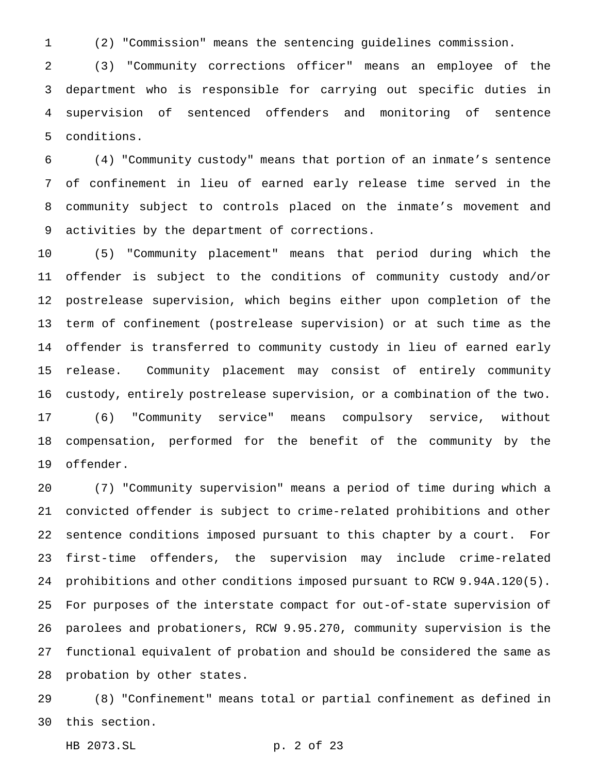(2) "Commission" means the sentencing guidelines commission.

 (3) "Community corrections officer" means an employee of the department who is responsible for carrying out specific duties in supervision of sentenced offenders and monitoring of sentence conditions.

 (4) "Community custody" means that portion of an inmate's sentence of confinement in lieu of earned early release time served in the community subject to controls placed on the inmate's movement and activities by the department of corrections.

 (5) "Community placement" means that period during which the offender is subject to the conditions of community custody and/or postrelease supervision, which begins either upon completion of the term of confinement (postrelease supervision) or at such time as the offender is transferred to community custody in lieu of earned early release. Community placement may consist of entirely community custody, entirely postrelease supervision, or a combination of the two. (6) "Community service" means compulsory service, without compensation, performed for the benefit of the community by the offender.

 (7) "Community supervision" means a period of time during which a convicted offender is subject to crime-related prohibitions and other sentence conditions imposed pursuant to this chapter by a court. For first-time offenders, the supervision may include crime-related prohibitions and other conditions imposed pursuant to RCW 9.94A.120(5). For purposes of the interstate compact for out-of-state supervision of parolees and probationers, RCW 9.95.270, community supervision is the functional equivalent of probation and should be considered the same as probation by other states.

 (8) "Confinement" means total or partial confinement as defined in this section.

HB 2073.SL p. 2 of 23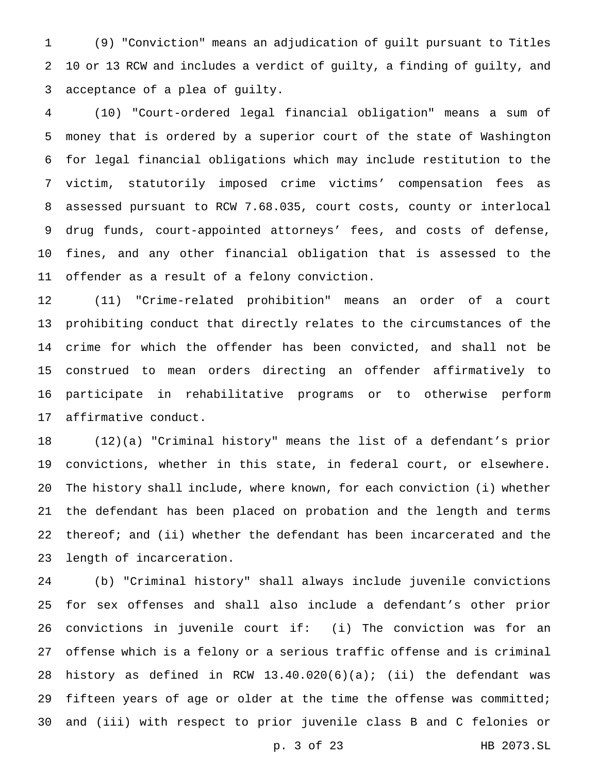(9) "Conviction" means an adjudication of guilt pursuant to Titles 10 or 13 RCW and includes a verdict of guilty, a finding of guilty, and acceptance of a plea of guilty.

 (10) "Court-ordered legal financial obligation" means a sum of money that is ordered by a superior court of the state of Washington for legal financial obligations which may include restitution to the victim, statutorily imposed crime victims' compensation fees as assessed pursuant to RCW 7.68.035, court costs, county or interlocal drug funds, court-appointed attorneys' fees, and costs of defense, fines, and any other financial obligation that is assessed to the offender as a result of a felony conviction.

 (11) "Crime-related prohibition" means an order of a court prohibiting conduct that directly relates to the circumstances of the crime for which the offender has been convicted, and shall not be construed to mean orders directing an offender affirmatively to participate in rehabilitative programs or to otherwise perform affirmative conduct.

 (12)(a) "Criminal history" means the list of a defendant's prior convictions, whether in this state, in federal court, or elsewhere. The history shall include, where known, for each conviction (i) whether the defendant has been placed on probation and the length and terms 22 thereof; and (ii) whether the defendant has been incarcerated and the length of incarceration.

 (b) "Criminal history" shall always include juvenile convictions for sex offenses and shall also include a defendant's other prior convictions in juvenile court if: (i) The conviction was for an offense which is a felony or a serious traffic offense and is criminal history as defined in RCW 13.40.020(6)(a); (ii) the defendant was 29 fifteen years of age or older at the time the offense was committed; and (iii) with respect to prior juvenile class B and C felonies or

p. 3 of 23 HB 2073.SL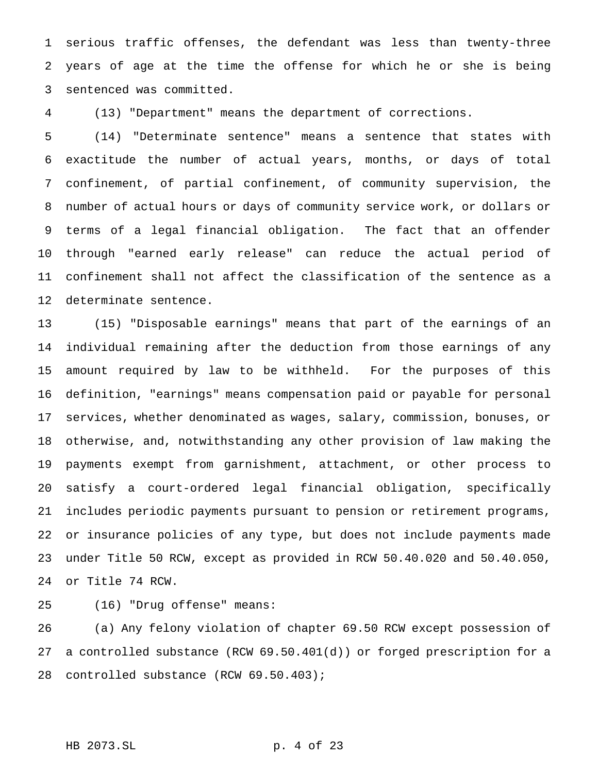serious traffic offenses, the defendant was less than twenty-three years of age at the time the offense for which he or she is being sentenced was committed.

(13) "Department" means the department of corrections.

 (14) "Determinate sentence" means a sentence that states with exactitude the number of actual years, months, or days of total confinement, of partial confinement, of community supervision, the number of actual hours or days of community service work, or dollars or terms of a legal financial obligation. The fact that an offender through "earned early release" can reduce the actual period of confinement shall not affect the classification of the sentence as a determinate sentence.

 (15) "Disposable earnings" means that part of the earnings of an individual remaining after the deduction from those earnings of any amount required by law to be withheld. For the purposes of this definition, "earnings" means compensation paid or payable for personal services, whether denominated as wages, salary, commission, bonuses, or otherwise, and, notwithstanding any other provision of law making the payments exempt from garnishment, attachment, or other process to satisfy a court-ordered legal financial obligation, specifically includes periodic payments pursuant to pension or retirement programs, or insurance policies of any type, but does not include payments made under Title 50 RCW, except as provided in RCW 50.40.020 and 50.40.050, or Title 74 RCW.

(16) "Drug offense" means:

 (a) Any felony violation of chapter 69.50 RCW except possession of a controlled substance (RCW 69.50.401(d)) or forged prescription for a controlled substance (RCW 69.50.403);

```
HB 2073.SL p. 4 of 23
```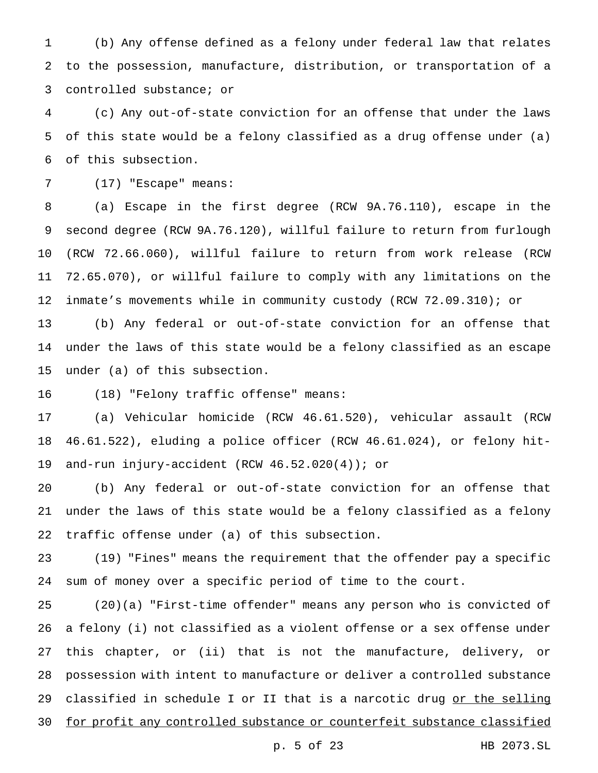(b) Any offense defined as a felony under federal law that relates to the possession, manufacture, distribution, or transportation of a controlled substance; or

 (c) Any out-of-state conviction for an offense that under the laws of this state would be a felony classified as a drug offense under (a) of this subsection.

(17) "Escape" means:

 (a) Escape in the first degree (RCW 9A.76.110), escape in the second degree (RCW 9A.76.120), willful failure to return from furlough (RCW 72.66.060), willful failure to return from work release (RCW 72.65.070), or willful failure to comply with any limitations on the inmate's movements while in community custody (RCW 72.09.310); or

 (b) Any federal or out-of-state conviction for an offense that under the laws of this state would be a felony classified as an escape under (a) of this subsection.

(18) "Felony traffic offense" means:

 (a) Vehicular homicide (RCW 46.61.520), vehicular assault (RCW 46.61.522), eluding a police officer (RCW 46.61.024), or felony hit-and-run injury-accident (RCW 46.52.020(4)); or

 (b) Any federal or out-of-state conviction for an offense that under the laws of this state would be a felony classified as a felony traffic offense under (a) of this subsection.

 (19) "Fines" means the requirement that the offender pay a specific sum of money over a specific period of time to the court.

 (20)(a) "First-time offender" means any person who is convicted of a felony (i) not classified as a violent offense or a sex offense under this chapter, or (ii) that is not the manufacture, delivery, or possession with intent to manufacture or deliver a controlled substance 29 classified in schedule I or II that is a narcotic drug or the selling 30 for profit any controlled substance or counterfeit substance classified

p. 5 of 23 HB 2073.SL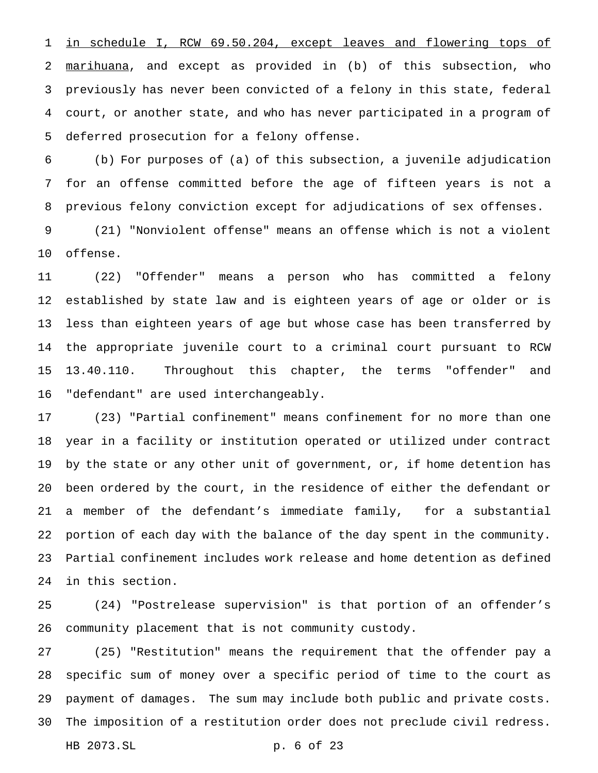in schedule I, RCW 69.50.204, except leaves and flowering tops of marihuana, and except as provided in (b) of this subsection, who previously has never been convicted of a felony in this state, federal court, or another state, and who has never participated in a program of deferred prosecution for a felony offense.

 (b) For purposes of (a) of this subsection, a juvenile adjudication for an offense committed before the age of fifteen years is not a previous felony conviction except for adjudications of sex offenses.

 (21) "Nonviolent offense" means an offense which is not a violent offense.

 (22) "Offender" means a person who has committed a felony established by state law and is eighteen years of age or older or is less than eighteen years of age but whose case has been transferred by the appropriate juvenile court to a criminal court pursuant to RCW 13.40.110. Throughout this chapter, the terms "offender" and "defendant" are used interchangeably.

 (23) "Partial confinement" means confinement for no more than one year in a facility or institution operated or utilized under contract by the state or any other unit of government, or, if home detention has been ordered by the court, in the residence of either the defendant or a member of the defendant's immediate family, for a substantial portion of each day with the balance of the day spent in the community. Partial confinement includes work release and home detention as defined in this section.

 (24) "Postrelease supervision" is that portion of an offender's community placement that is not community custody.

 (25) "Restitution" means the requirement that the offender pay a specific sum of money over a specific period of time to the court as payment of damages. The sum may include both public and private costs. The imposition of a restitution order does not preclude civil redress. HB 2073.SL p. 6 of 23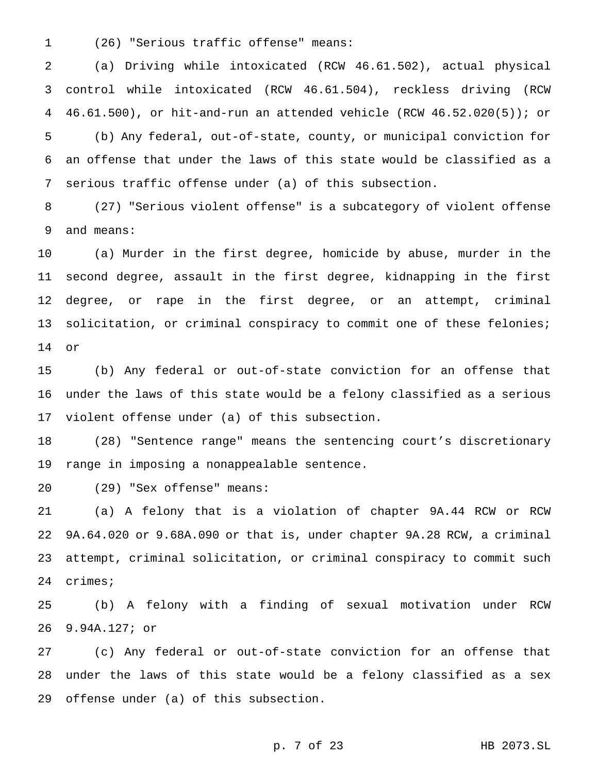(26) "Serious traffic offense" means:

 (a) Driving while intoxicated (RCW 46.61.502), actual physical control while intoxicated (RCW 46.61.504), reckless driving (RCW 46.61.500), or hit-and-run an attended vehicle (RCW 46.52.020(5)); or (b) Any federal, out-of-state, county, or municipal conviction for an offense that under the laws of this state would be classified as a serious traffic offense under (a) of this subsection.

 (27) "Serious violent offense" is a subcategory of violent offense and means:

 (a) Murder in the first degree, homicide by abuse, murder in the second degree, assault in the first degree, kidnapping in the first degree, or rape in the first degree, or an attempt, criminal 13 solicitation, or criminal conspiracy to commit one of these felonies; or

 (b) Any federal or out-of-state conviction for an offense that under the laws of this state would be a felony classified as a serious violent offense under (a) of this subsection.

 (28) "Sentence range" means the sentencing court's discretionary range in imposing a nonappealable sentence.

(29) "Sex offense" means:

 (a) A felony that is a violation of chapter 9A.44 RCW or RCW 9A.64.020 or 9.68A.090 or that is, under chapter 9A.28 RCW, a criminal attempt, criminal solicitation, or criminal conspiracy to commit such crimes;

 (b) A felony with a finding of sexual motivation under RCW 9.94A.127; or

 (c) Any federal or out-of-state conviction for an offense that under the laws of this state would be a felony classified as a sex offense under (a) of this subsection.

p. 7 of 23 HB 2073.SL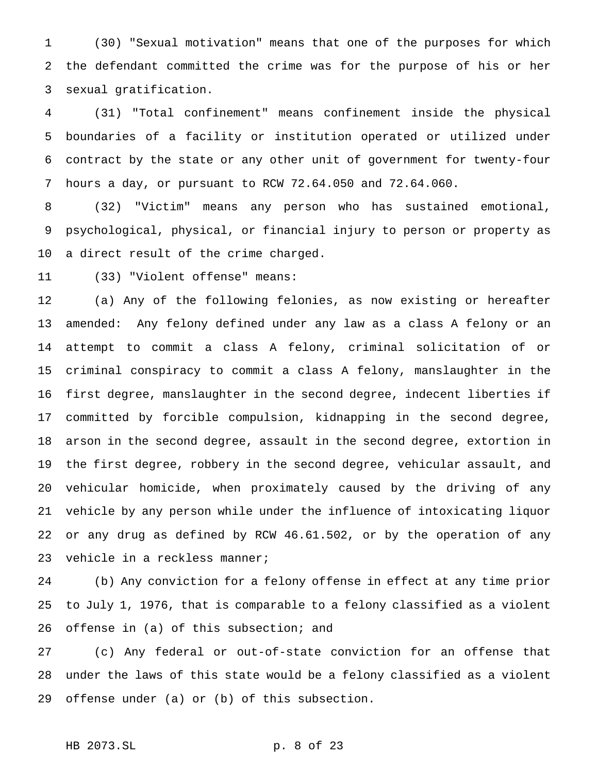(30) "Sexual motivation" means that one of the purposes for which the defendant committed the crime was for the purpose of his or her sexual gratification.

 (31) "Total confinement" means confinement inside the physical boundaries of a facility or institution operated or utilized under contract by the state or any other unit of government for twenty-four hours a day, or pursuant to RCW 72.64.050 and 72.64.060.

 (32) "Victim" means any person who has sustained emotional, psychological, physical, or financial injury to person or property as a direct result of the crime charged.

(33) "Violent offense" means:

 (a) Any of the following felonies, as now existing or hereafter amended: Any felony defined under any law as a class A felony or an attempt to commit a class A felony, criminal solicitation of or criminal conspiracy to commit a class A felony, manslaughter in the first degree, manslaughter in the second degree, indecent liberties if committed by forcible compulsion, kidnapping in the second degree, arson in the second degree, assault in the second degree, extortion in the first degree, robbery in the second degree, vehicular assault, and vehicular homicide, when proximately caused by the driving of any vehicle by any person while under the influence of intoxicating liquor or any drug as defined by RCW 46.61.502, or by the operation of any vehicle in a reckless manner;

 (b) Any conviction for a felony offense in effect at any time prior to July 1, 1976, that is comparable to a felony classified as a violent 26 offense in (a) of this subsection; and

 (c) Any federal or out-of-state conviction for an offense that under the laws of this state would be a felony classified as a violent offense under (a) or (b) of this subsection.

# HB 2073.SL p. 8 of 23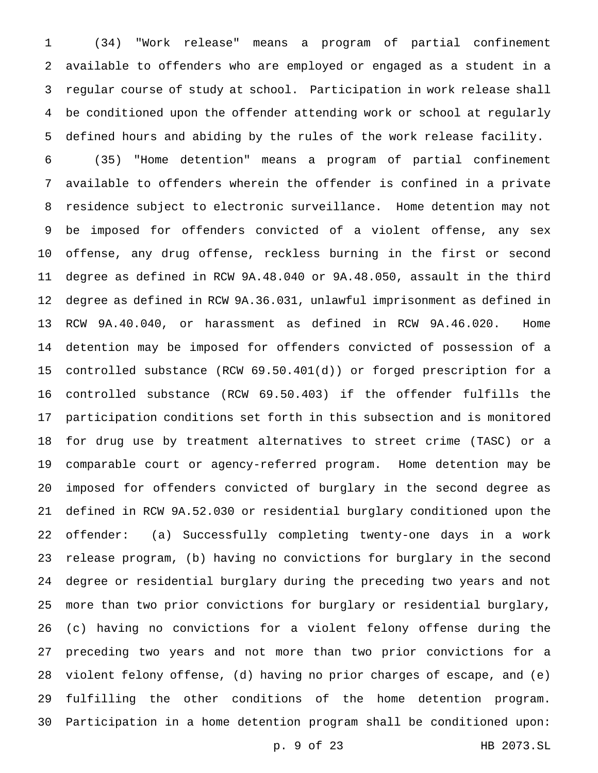(34) "Work release" means a program of partial confinement available to offenders who are employed or engaged as a student in a regular course of study at school. Participation in work release shall be conditioned upon the offender attending work or school at regularly defined hours and abiding by the rules of the work release facility.

 (35) "Home detention" means a program of partial confinement available to offenders wherein the offender is confined in a private residence subject to electronic surveillance. Home detention may not be imposed for offenders convicted of a violent offense, any sex offense, any drug offense, reckless burning in the first or second degree as defined in RCW 9A.48.040 or 9A.48.050, assault in the third degree as defined in RCW 9A.36.031, unlawful imprisonment as defined in RCW 9A.40.040, or harassment as defined in RCW 9A.46.020. Home detention may be imposed for offenders convicted of possession of a controlled substance (RCW 69.50.401(d)) or forged prescription for a controlled substance (RCW 69.50.403) if the offender fulfills the participation conditions set forth in this subsection and is monitored for drug use by treatment alternatives to street crime (TASC) or a comparable court or agency-referred program. Home detention may be imposed for offenders convicted of burglary in the second degree as defined in RCW 9A.52.030 or residential burglary conditioned upon the offender: (a) Successfully completing twenty-one days in a work release program, (b) having no convictions for burglary in the second degree or residential burglary during the preceding two years and not more than two prior convictions for burglary or residential burglary, (c) having no convictions for a violent felony offense during the preceding two years and not more than two prior convictions for a violent felony offense, (d) having no prior charges of escape, and (e) fulfilling the other conditions of the home detention program. Participation in a home detention program shall be conditioned upon:

p. 9 of 23 HB 2073.SL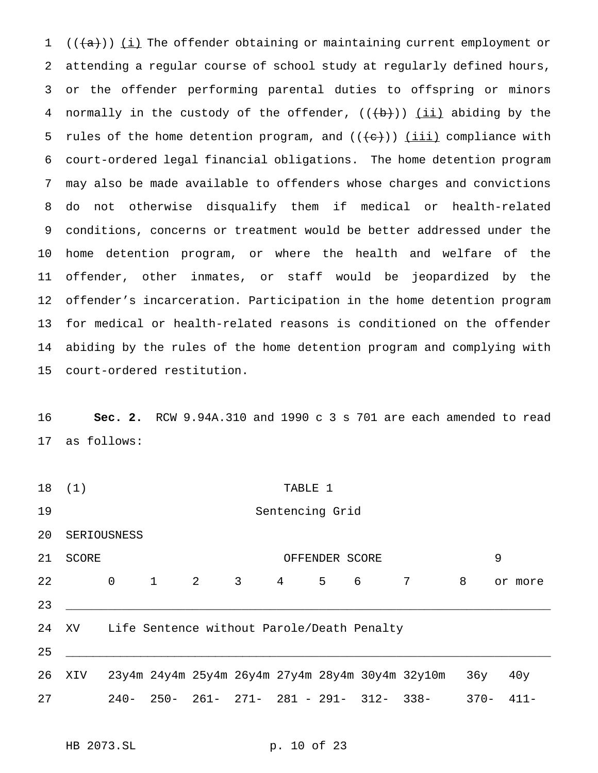$((+a))$   $(i)$  The offender obtaining or maintaining current employment or attending a regular course of school study at regularly defined hours, or the offender performing parental duties to offspring or minors 4 normally in the custody of the offender,  $((+b))$  (ii) abiding by the 5 rules of the home detention program, and  $((+e))$  (iii) compliance with court-ordered legal financial obligations. The home detention program may also be made available to offenders whose charges and convictions do not otherwise disqualify them if medical or health-related conditions, concerns or treatment would be better addressed under the home detention program, or where the health and welfare of the offender, other inmates, or staff would be jeopardized by the offender's incarceration. Participation in the home detention program for medical or health-related reasons is conditioned on the offender abiding by the rules of the home detention program and complying with court-ordered restitution.

 **Sec. 2.** RCW 9.94A.310 and 1990 c 3 s 701 are each amended to read as follows:

 (1) TABLE 1 Sentencing Grid SERIOUSNESS SCORE OFFENDER SCORE 9 0 1 2 3 4 5 6 7 8 or more \_\_\_\_\_\_\_\_\_\_\_\_\_\_\_\_\_\_\_\_\_\_\_\_\_\_\_\_\_\_\_\_\_\_\_\_\_\_\_\_\_\_\_\_\_\_\_\_\_\_\_\_\_\_\_\_\_\_\_\_\_\_\_\_\_\_\_\_\_ XV Life Sentence without Parole/Death Penalty \_\_\_\_\_\_\_\_\_\_\_\_\_\_\_\_\_\_\_\_\_\_\_\_\_\_\_\_\_\_\_\_\_\_\_\_\_\_\_\_\_\_\_\_\_\_\_\_\_\_\_\_\_\_\_\_\_\_\_\_\_\_\_\_\_\_\_\_\_\_ XIV 23y4m 24y4m 25y4m 26y4m 27y4m 28y4m 30y4m 32y10m 36y 40y 240- 250- 261- 271- 281 - 291- 312- 338- 370- 411-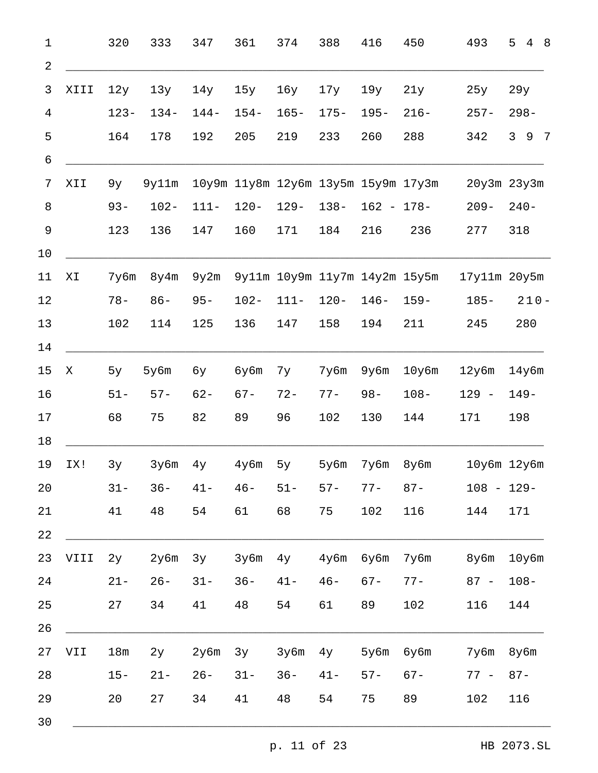| $1\,$          |             | 320     | 333     | 347     | 361                                 | 374     | 388     | 416           | 450                           | 493             | 5<br>4 8          |     |
|----------------|-------------|---------|---------|---------|-------------------------------------|---------|---------|---------------|-------------------------------|-----------------|-------------------|-----|
| $\sqrt{2}$     |             |         |         |         |                                     |         |         |               |                               |                 |                   |     |
| 3              | XIII        | 12y     | 13y     | 14y     | 15y                                 | 16y     | 17y     | 19y           | 21y                           | 25y             | 29y               |     |
| $\overline{4}$ |             | $123 -$ | $134 -$ | $144-$  | $154-$                              | $165 -$ | $175 -$ | $195 -$       | $216 -$                       | $257 -$         | $298 -$           |     |
| 5              |             | 164     | 178     | 192     | 205                                 | 219     | 233     | 260           | 288                           | 342             | $\mathsf{3}$<br>9 | - 7 |
| 6              |             |         |         |         |                                     |         |         |               |                               |                 |                   |     |
| 7              | XII         | 9y      | 9y11m   |         | 10y9m 11y8m 12y6m 13y5m 15y9m 17y3m |         |         |               |                               | $20y3m$ $23y3m$ |                   |     |
| $\, 8$         |             | $93 -$  | $102 -$ | $111 -$ | $120 -$                             | $129 -$ | $138 -$ | $162 - 178 -$ |                               | $209 -$         | $240 -$           |     |
| 9              |             | 123     | 136     | 147     | 160                                 | 171     | 184     | 216           | 236                           | 277             | 318               |     |
| 10             |             |         |         |         |                                     |         |         |               |                               |                 |                   |     |
| 11             | ΧI          | 7y6m    | 8y4m    | 9y2m    |                                     |         |         |               | 9y11m 10y9m 11y7m 14y2m 15y5m | 17y11m 20y5m    |                   |     |
| 12             |             | $78 -$  | $86 -$  | $95 -$  | $102 -$                             | $111 -$ | $120 -$ | $146 -$       | $159 -$                       | $185 -$         | $210 -$           |     |
| 13             |             | 102     | 114     | 125     | 136                                 | 147     | 158     | 194           | 211                           | 245             | 280               |     |
| 14             |             |         |         |         |                                     |         |         |               |                               |                 |                   |     |
| 15             | $\mathbf X$ | 5y      | 5y6m    | бу      | бу6m                                | 7y      | 7y6m    | 9y6m          | $10y$ 6m                      | $12y$ 6m        | $14y$ 6m          |     |
| 16             |             | $51 -$  | $57 -$  | $62 -$  | $67 -$                              | $72 -$  | $77 -$  | $98 -$        | $108 -$                       | $129 -$         | $149 -$           |     |
| $17$           |             | 68      | 75      | 82      | 89                                  | 96      | 102     | 130           | 144                           | 171             | 198               |     |
| 18             |             |         |         |         |                                     |         |         |               |                               |                 |                   |     |
| 19             | IX!         | 3y      | 3y6m    | 4y      | $4y$ 6m                             | 5y      | 5y6m    | 7y6m          | 8y6m                          | 10y6m 12y6m     |                   |     |
| 20             |             | $31 -$  | $36 -$  | $41 -$  | $46 -$                              | $51 -$  | $57 -$  | $77 -$        | $87 -$                        | $108 - 129 -$   |                   |     |
| 21             |             | 41      | 48      | 54      | 61                                  | 68      | 75      | 102           | 116                           | 144             | 171               |     |
| 22             |             |         |         |         |                                     |         |         |               |                               |                 |                   |     |
| 23             | VIII        | 2y      | 2y6m    | 3y      | 3y6m                                | 4y      | $4y$ 6m | бу6m          | 7y6m                          | 8y6m            | 10y6m             |     |
| 24             |             | $21 -$  | $26 -$  | $31 -$  | $36 -$                              | $41 -$  | $46 -$  | $67 -$        | $77 -$                        | $87 -$          | $108 -$           |     |
| 25             |             | 27      | 34      | 41      | 48                                  | 54      | 61      | 89            | 102                           | 116             | 144               |     |
| 26             |             |         |         |         |                                     |         |         |               |                               |                 |                   |     |
| 27             | <b>IIV</b>  | 18m     | 2y      | 2y6m    | 3y                                  | 3y6m    | 4y      | 5y6m          | бу6m                          | 7y6m            | $8y$ 6m           |     |
| 28             |             | $15 -$  | $21 -$  | $26 -$  | $31 -$                              | $36 -$  | $41 -$  | $57 -$        | $67 -$                        | $77 -$          | $87 -$            |     |
| 29             |             | 20      | 27      | 34      | 41                                  | 48      | 54      | 75            | 89                            | 102             | 116               |     |
| 30             |             |         |         |         |                                     |         |         |               |                               |                 |                   |     |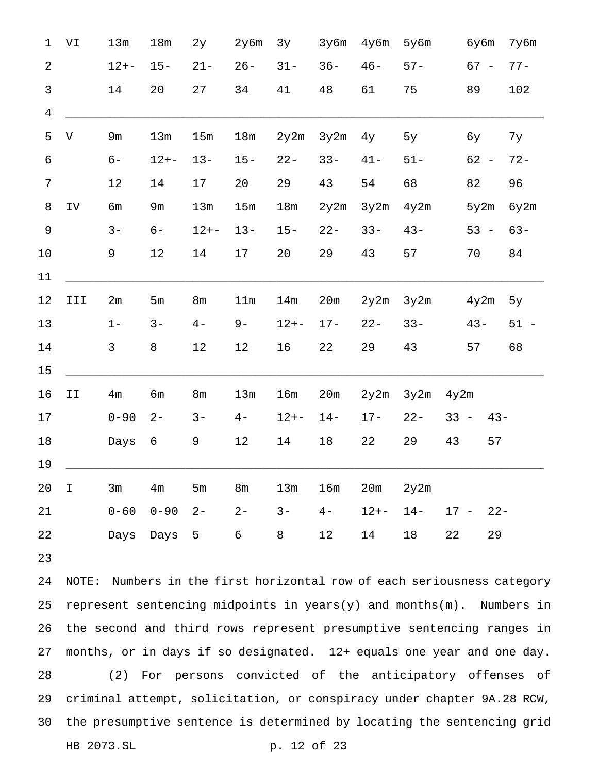| $\mathbf 1$     | VI                    | 13m            | 18m            | 2y             | 2y6m           | 3y       | 3y6m   | 4y6m     | 5y6m   |        | бу6m   |        | 7y6m   |  |
|-----------------|-----------------------|----------------|----------------|----------------|----------------|----------|--------|----------|--------|--------|--------|--------|--------|--|
| $\overline{2}$  |                       | $12 + -$       | $15 -$         | $21 -$         | $26 -$         | $31 -$   | $36 -$ | $46 -$   | $57 -$ |        | $67 -$ |        | $77 -$ |  |
| $\mathfrak{Z}$  |                       | 14             | 20             | 27             | 34             | 41       | 48     | 61       | 75     |        | 89     |        | 102    |  |
| $\overline{4}$  |                       |                |                |                |                |          |        |          |        |        |        |        |        |  |
| 5               | $\boldsymbol{\nabla}$ | 9m             | 13m            | 15m            | 18m            | 2y2m     | 3y2m   | 4y       | 5y     |        | бу     |        | 7у     |  |
| $\epsilon$      |                       | $6-$           | $12 + -$       | $13 -$         | $15 -$         | $22 -$   | $33 -$ | $41 -$   | $51 -$ |        | $62 -$ |        | $72 -$ |  |
| $\overline{7}$  |                       | $1\,2$         | 14             | $17$           | 20             | 29       | 43     | 54       | 68     |        | 82     |        | 96     |  |
| $\,8\,$         | ${\tt IV}$            | бm             | 9m             | 13m            | 15m            | 18m      | 2y2m   | 3y2m     | 4y2m   |        | 5y2m   |        | 6y2m   |  |
| $\mathsf 9$     |                       | $3 -$          | $6-$           | $12 + -$       | $13 -$         | $15 -$   | $22 -$ | $33 -$   | $43 -$ |        | $53 -$ |        | $63 -$ |  |
| 10              |                       | 9              | $12$           | 14             | 17             | 20       | 29     | 43       | 57     |        | 70     |        | 84     |  |
| $11\,$          |                       |                |                |                |                |          |        |          |        |        |        |        |        |  |
| 12              | III                   | 2m             | 5m             | 8 <sub>m</sub> | 11m            | 14m      | 20m    | 2y2m     | 3y2m   |        | 4y2m   |        | 5y     |  |
| 13              |                       | $1 -$          | $3 -$          | $4-$           | $9-$           | $12 + -$ | $17 -$ | $22 -$   | $33 -$ |        | $43 -$ |        | $51 -$ |  |
| 14              |                       | $\mathsf{3}$   | 8              | 12             | 12             | 16       | 22     | 29       | 43     |        | 57     |        | 68     |  |
| $15$            |                       |                |                |                |                |          |        |          |        |        |        |        |        |  |
| 16              | II                    | 4 <sub>m</sub> | бm             | 8 <sub>m</sub> | 13m            | 16m      | 20m    | 2y2m     | 3y2m   | 4y2m   |        |        |        |  |
| 17              |                       | $0 - 90$       | $2 -$          | $3 -$          | $4-$           | $12 + -$ | $14 -$ | $17 -$   | $22 -$ | $33 -$ |        | $43 -$ |        |  |
| $18\,$          |                       | Days           | 6              | 9              | $12$           | 14       | $18\,$ | 22       | 29     | 43     |        | 57     |        |  |
| 19              |                       |                |                |                |                |          |        |          |        |        |        |        |        |  |
| 20 <sub>o</sub> | $\mathbf I$           | 3m             | 4 <sub>m</sub> | 5m             | 8 <sub>m</sub> | 13m      | 16m    | 20m      | 2y2m   |        |        |        |        |  |
| 21              |                       | $0 - 60$       | $0 - 90$       | $2 -$          | $2 -$          | $3 -$    | $4-$   | $12 + -$ | $14-$  |        | $17 -$ | $22 -$ |        |  |
| 22              |                       | Days           | Days 5         |                | $6\phantom{.}$ | 8        | 12     | 14       | 18     | 22     |        | 29     |        |  |
| 23              |                       |                |                |                |                |          |        |          |        |        |        |        |        |  |

 NOTE: Numbers in the first horizontal row of each seriousness category 25 represent sentencing midpoints in  $years(y)$  and months(m). Numbers in the second and third rows represent presumptive sentencing ranges in months, or in days if so designated. 12+ equals one year and one day. (2) For persons convicted of the anticipatory offenses of criminal attempt, solicitation, or conspiracy under chapter 9A.28 RCW, the presumptive sentence is determined by locating the sentencing grid HB 2073.SL p. 12 of 23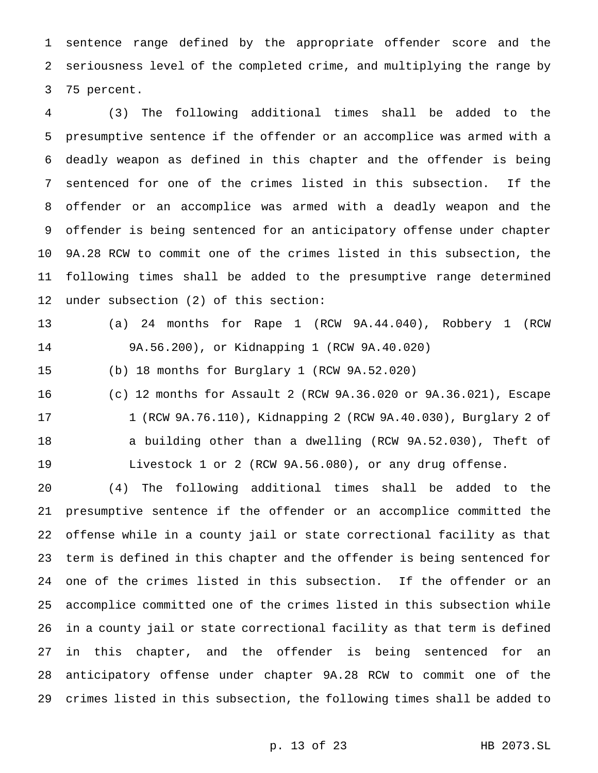sentence range defined by the appropriate offender score and the seriousness level of the completed crime, and multiplying the range by 75 percent.

 (3) The following additional times shall be added to the presumptive sentence if the offender or an accomplice was armed with a deadly weapon as defined in this chapter and the offender is being sentenced for one of the crimes listed in this subsection. If the offender or an accomplice was armed with a deadly weapon and the offender is being sentenced for an anticipatory offense under chapter 9A.28 RCW to commit one of the crimes listed in this subsection, the following times shall be added to the presumptive range determined under subsection (2) of this section:

 (a) 24 months for Rape 1 (RCW 9A.44.040), Robbery 1 (RCW 9A.56.200), or Kidnapping 1 (RCW 9A.40.020)

(b) 18 months for Burglary 1 (RCW 9A.52.020)

 (c) 12 months for Assault 2 (RCW 9A.36.020 or 9A.36.021), Escape 1 (RCW 9A.76.110), Kidnapping 2 (RCW 9A.40.030), Burglary 2 of a building other than a dwelling (RCW 9A.52.030), Theft of Livestock 1 or 2 (RCW 9A.56.080), or any drug offense.

 (4) The following additional times shall be added to the presumptive sentence if the offender or an accomplice committed the offense while in a county jail or state correctional facility as that term is defined in this chapter and the offender is being sentenced for one of the crimes listed in this subsection. If the offender or an accomplice committed one of the crimes listed in this subsection while in a county jail or state correctional facility as that term is defined in this chapter, and the offender is being sentenced for an anticipatory offense under chapter 9A.28 RCW to commit one of the crimes listed in this subsection, the following times shall be added to

p. 13 of 23 HB 2073.SL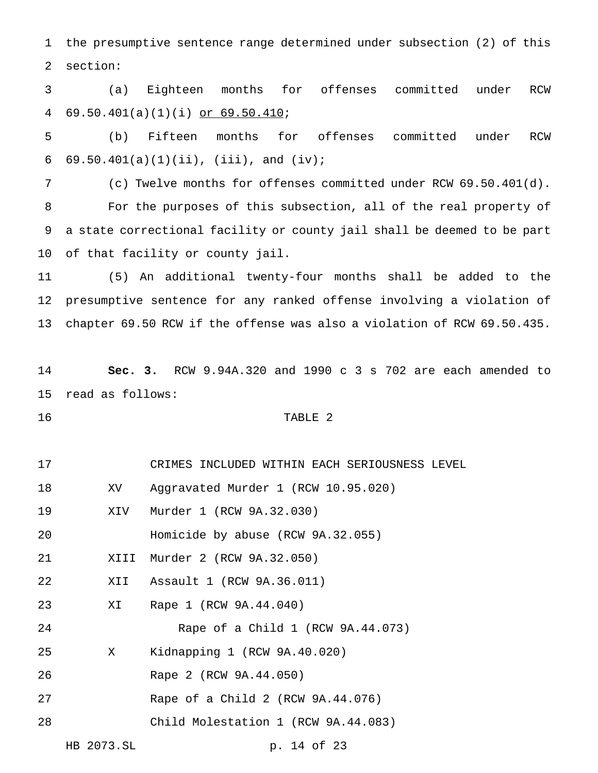the presumptive sentence range determined under subsection (2) of this section:

 (a) Eighteen months for offenses committed under RCW 69.50.401(a)(1)(i) or 69.50.410;

 (b) Fifteen months for offenses committed under RCW 6  $69.50.401(a)(1)(ii)$ , (iii), and (iv);

 (c) Twelve months for offenses committed under RCW 69.50.401(d). For the purposes of this subsection, all of the real property of a state correctional facility or county jail shall be deemed to be part of that facility or county jail.

 (5) An additional twenty-four months shall be added to the presumptive sentence for any ranked offense involving a violation of chapter 69.50 RCW if the offense was also a violation of RCW 69.50.435.

 **Sec. 3.** RCW 9.94A.320 and 1990 c 3 s 702 are each amended to read as follows:

# 16 TABLE 2

- CRIMES INCLUDED WITHIN EACH SERIOUSNESS LEVEL XV Aggravated Murder 1 (RCW 10.95.020)
- XIV Murder 1 (RCW 9A.32.030)
- Homicide by abuse (RCW 9A.32.055)
- XIII Murder 2 (RCW 9A.32.050)
- XII Assault 1 (RCW 9A.36.011)
- XI Rape 1 (RCW 9A.44.040)

Rape of a Child 1 (RCW 9A.44.073)

- X Kidnapping 1 (RCW 9A.40.020)
- Rape 2 (RCW 9A.44.050)
- Rape of a Child 2 (RCW 9A.44.076)
- Child Molestation 1 (RCW 9A.44.083)

HB 2073.SL p. 14 of 23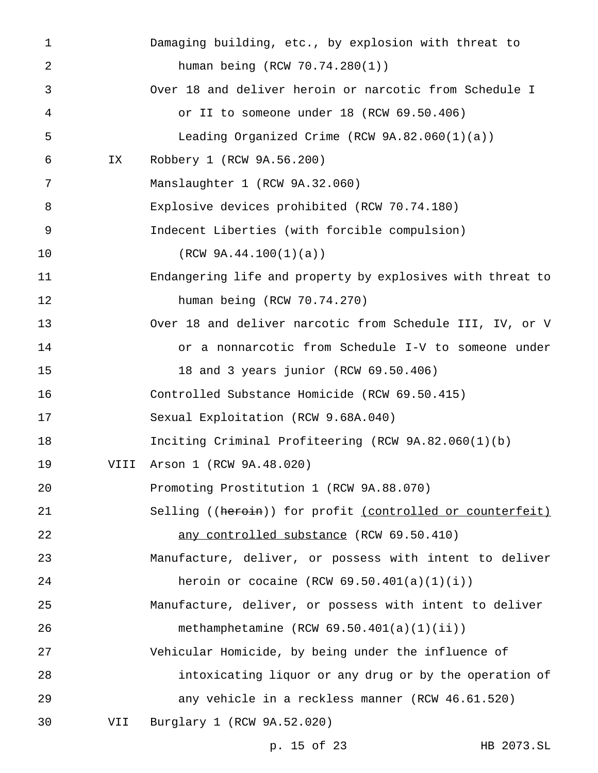| $\mathbf 1$ |      | Damaging building, etc., by explosion with threat to       |
|-------------|------|------------------------------------------------------------|
| 2           |      | human being (RCW 70.74.280(1))                             |
| 3           |      | Over 18 and deliver heroin or narcotic from Schedule I     |
| 4           |      | or II to someone under 18 (RCW 69.50.406)                  |
| 5           |      | Leading Organized Crime (RCW $9A.82.060(1)(a)$ )           |
| 6           | IX   | Robbery 1 (RCW 9A.56.200)                                  |
| 7           |      | Manslaughter 1 (RCW 9A.32.060)                             |
| 8           |      | Explosive devices prohibited (RCW 70.74.180)               |
| 9           |      | Indecent Liberties (with forcible compulsion)              |
| 10          |      | (RCW 9A.44.100(1)(a))                                      |
| 11          |      | Endangering life and property by explosives with threat to |
| 12          |      | human being (RCW 70.74.270)                                |
| 13          |      | Over 18 and deliver narcotic from Schedule III, IV, or V   |
| 14          |      | or a nonnarcotic from Schedule I-V to someone under        |
| 15          |      | 18 and 3 years junior (RCW 69.50.406)                      |
| 16          |      | Controlled Substance Homicide (RCW 69.50.415)              |
| 17          |      | Sexual Exploitation (RCW 9.68A.040)                        |
| 18          |      | Inciting Criminal Profiteering (RCW 9A.82.060(1)(b)        |
| 19          | VIII | Arson 1 (RCW 9A.48.020)                                    |
| 20          |      | Promoting Prostitution 1 (RCW 9A.88.070)                   |
| 21          |      | Selling ((heroin)) for profit (controlled or counterfeit)  |
| 22          |      | any controlled substance (RCW 69.50.410)                   |
| 23          |      | Manufacture, deliver, or possess with intent to deliver    |
| 24          |      | heroin or cocaine (RCW $69.50.401(a)(1)(i)$ )              |
| 25          |      | Manufacture, deliver, or possess with intent to deliver    |
| 26          |      | methamphetamine $(RCW 69.50.401(a)(1)(ii))$                |
| 27          |      | Vehicular Homicide, by being under the influence of        |
| 28          |      | intoxicating liquor or any drug or by the operation of     |
| 29          |      | any vehicle in a reckless manner (RCW 46.61.520)           |
| 30          | VII  | Burglary 1 (RCW 9A.52.020)                                 |
|             |      |                                                            |

p. 15 of 23 HB 2073.SL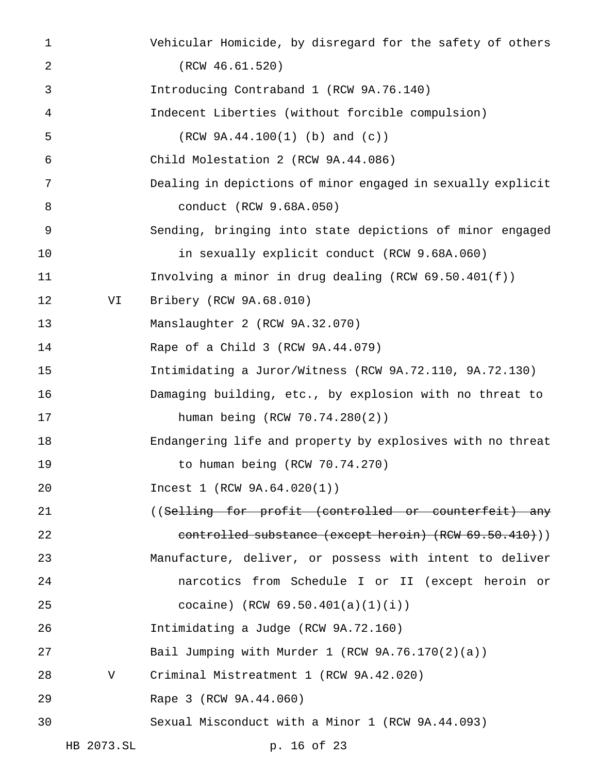| $\mathbf 1$ |            | Vehicular Homicide, by disregard for the safety of others   |
|-------------|------------|-------------------------------------------------------------|
| 2           |            | (RCW 46.61.520)                                             |
| 3           |            | Introducing Contraband 1 (RCW 9A.76.140)                    |
| 4           |            | Indecent Liberties (without forcible compulsion)            |
| 5           |            | $(RCW 9A.44.100(1)$ (b) and (c))                            |
| 6           |            | Child Molestation 2 (RCW 9A.44.086)                         |
| 7           |            | Dealing in depictions of minor engaged in sexually explicit |
| 8           |            | conduct (RCW 9.68A.050)                                     |
| 9           |            | Sending, bringing into state depictions of minor engaged    |
| 10          |            | in sexually explicit conduct (RCW 9.68A.060)                |
| 11          |            | Involving a minor in drug dealing (RCW $69.50.401(f)$ )     |
| 12          | VI         | Bribery (RCW 9A.68.010)                                     |
| 13          |            | Manslaughter 2 (RCW 9A.32.070)                              |
| 14          |            | Rape of a Child 3 (RCW 9A.44.079)                           |
| 15          |            | Intimidating a Juror/Witness (RCW 9A.72.110, 9A.72.130)     |
| 16          |            | Damaging building, etc., by explosion with no threat to     |
| 17          |            | human being (RCW 70.74.280(2))                              |
| 18          |            | Endangering life and property by explosives with no threat  |
| 19          |            | to human being (RCW 70.74.270)                              |
| 20          |            | Incest 1 (RCW 9A.64.020(1))                                 |
| 21          |            | ((Selling for profit (controlled or counterfeit) any        |
| 22          |            | controlled substance (except heroin) (RCW 69.50.410)))      |
| 23          |            | Manufacture, deliver, or possess with intent to deliver     |
| 24          |            | narcotics from Schedule I or II (except heroin or           |
| 25          |            | cocaine) (RCW $69.50.401(a)(1)(i)$ )                        |
| 26          |            | Intimidating a Judge (RCW 9A.72.160)                        |
| 27          |            | Bail Jumping with Murder 1 (RCW 9A.76.170(2)(a))            |
| 28          | V          | Criminal Mistreatment 1 (RCW 9A.42.020)                     |
| 29          |            | Rape 3 (RCW 9A.44.060)                                      |
| 30          |            | Sexual Misconduct with a Minor 1 (RCW 9A.44.093)            |
|             | HB 2073.SL | p. 16 of 23                                                 |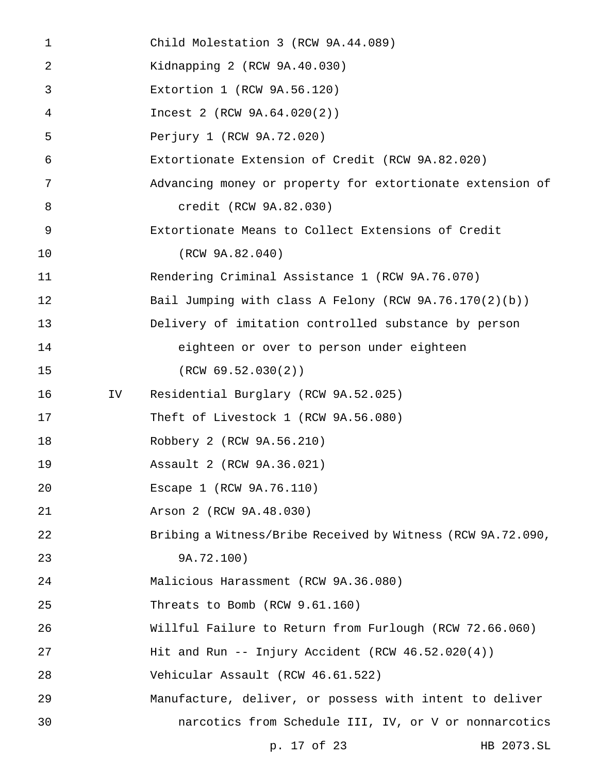| $\mathbf{1}$   |    | Child Molestation 3 (RCW 9A.44.089)                         |            |
|----------------|----|-------------------------------------------------------------|------------|
| 2              |    | Kidnapping 2 (RCW 9A.40.030)                                |            |
| 3              |    | Extortion 1 (RCW 9A.56.120)                                 |            |
| $\overline{4}$ |    | Incest 2 (RCW 9A.64.020(2))                                 |            |
| 5              |    | Perjury 1 (RCW 9A.72.020)                                   |            |
| 6              |    | Extortionate Extension of Credit (RCW 9A.82.020)            |            |
| 7              |    | Advancing money or property for extortionate extension of   |            |
| 8              |    | credit (RCW 9A.82.030)                                      |            |
| 9              |    | Extortionate Means to Collect Extensions of Credit          |            |
| 10             |    | (RCW 9A.82.040)                                             |            |
| 11             |    | Rendering Criminal Assistance 1 (RCW 9A.76.070)             |            |
| 12             |    | Bail Jumping with class A Felony (RCW $9A.76.170(2)(b)$ )   |            |
| 13             |    | Delivery of imitation controlled substance by person        |            |
| 14             |    | eighteen or over to person under eighteen                   |            |
| 15             |    | (RCW 69.52.030(2))                                          |            |
| 16             | IV | Residential Burglary (RCW 9A.52.025)                        |            |
| 17             |    | Theft of Livestock 1 (RCW 9A.56.080)                        |            |
| 18             |    | Robbery 2 (RCW 9A.56.210)                                   |            |
| 19             |    | Assault 2 (RCW 9A.36.021)                                   |            |
| 20             |    | Escape 1 (RCW 9A.76.110)                                    |            |
| 21             |    | Arson 2 (RCW 9A.48.030)                                     |            |
| 22             |    | Bribing a Witness/Bribe Received by Witness (RCW 9A.72.090, |            |
| 23             |    | 9A.72.100)                                                  |            |
| 24             |    | Malicious Harassment (RCW 9A.36.080)                        |            |
| 25             |    | Threats to Bomb (RCW 9.61.160)                              |            |
| 26             |    | Willful Failure to Return from Furlough (RCW 72.66.060)     |            |
| 27             |    | Hit and Run -- Injury Accident (RCW $46.52.020(4)$ )        |            |
| 28             |    | Vehicular Assault (RCW 46.61.522)                           |            |
| 29             |    | Manufacture, deliver, or possess with intent to deliver     |            |
| 30             |    | narcotics from Schedule III, IV, or V or nonnarcotics       |            |
|                |    | p. 17 of 23                                                 | HB 2073.SL |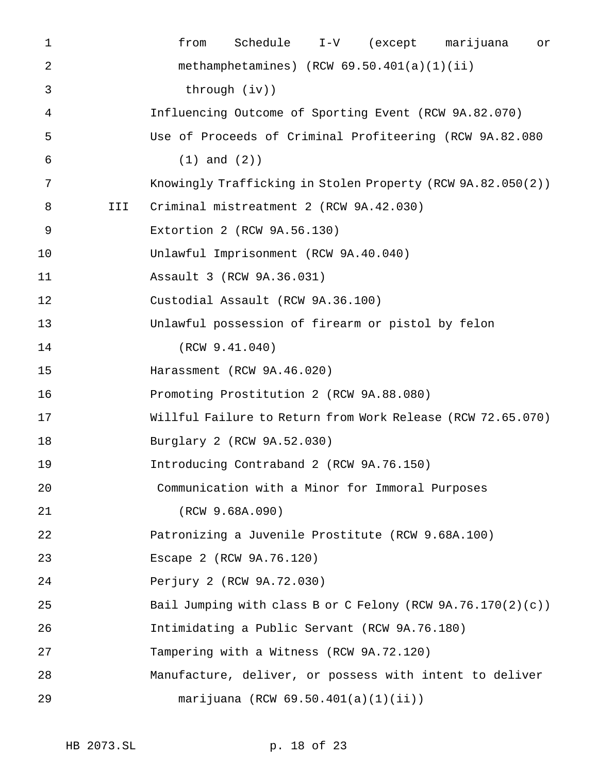| $\mathbf 1$ |     | from              | Schedule                                          | $I-V$ | (except marijuana                                              | or |
|-------------|-----|-------------------|---------------------------------------------------|-------|----------------------------------------------------------------|----|
| 2           |     |                   | methamphetamines) $(RCW 69.50.401(a)(1)(ii)$      |       |                                                                |    |
| 3           |     |                   | $through (iv)$ )                                  |       |                                                                |    |
| 4           |     |                   |                                                   |       | Influencing Outcome of Sporting Event (RCW 9A.82.070)          |    |
| 5           |     |                   |                                                   |       | Use of Proceeds of Criminal Profiteering (RCW 9A.82.080        |    |
| 6           |     | $(1)$ and $(2)$ ) |                                                   |       |                                                                |    |
| 7           |     |                   |                                                   |       | Knowingly Trafficking in Stolen Property (RCW 9A.82.050(2))    |    |
| 8           | III |                   | Criminal mistreatment 2 (RCW 9A.42.030)           |       |                                                                |    |
| 9           |     |                   | Extortion 2 (RCW 9A.56.130)                       |       |                                                                |    |
| 10          |     |                   | Unlawful Imprisonment (RCW 9A.40.040)             |       |                                                                |    |
| 11          |     |                   | Assault 3 (RCW 9A.36.031)                         |       |                                                                |    |
| 12          |     |                   | Custodial Assault (RCW 9A.36.100)                 |       |                                                                |    |
| 13          |     |                   | Unlawful possession of firearm or pistol by felon |       |                                                                |    |
| 14          |     |                   | (RCW 9.41.040)                                    |       |                                                                |    |
| 15          |     |                   | Harassment (RCW 9A.46.020)                        |       |                                                                |    |
| 16          |     |                   | Promoting Prostitution 2 (RCW 9A.88.080)          |       |                                                                |    |
| 17          |     |                   |                                                   |       | Willful Failure to Return from Work Release (RCW 72.65.070)    |    |
| 18          |     |                   | Burglary 2 (RCW 9A.52.030)                        |       |                                                                |    |
| 19          |     |                   | Introducing Contraband 2 (RCW 9A.76.150)          |       |                                                                |    |
| 20          |     |                   | Communication with a Minor for Immoral Purposes   |       |                                                                |    |
| 21          |     |                   | (RCW 9.68A.090)                                   |       |                                                                |    |
| 22          |     |                   | Patronizing a Juvenile Prostitute (RCW 9.68A.100) |       |                                                                |    |
| 23          |     |                   | Escape 2 (RCW 9A.76.120)                          |       |                                                                |    |
| 24          |     |                   | Perjury 2 (RCW 9A.72.030)                         |       |                                                                |    |
| 25          |     |                   |                                                   |       | Bail Jumping with class B or C Felony (RCW $9A.76.170(2)(c)$ ) |    |
| 26          |     |                   | Intimidating a Public Servant (RCW 9A.76.180)     |       |                                                                |    |
| 27          |     |                   | Tampering with a Witness (RCW 9A.72.120)          |       |                                                                |    |
| 28          |     |                   |                                                   |       | Manufacture, deliver, or possess with intent to deliver        |    |
| 29          |     |                   | marijuana (RCW $69.50.401(a)(1)(ii)$ )            |       |                                                                |    |
|             |     |                   |                                                   |       |                                                                |    |

HB 2073.SL p. 18 of 23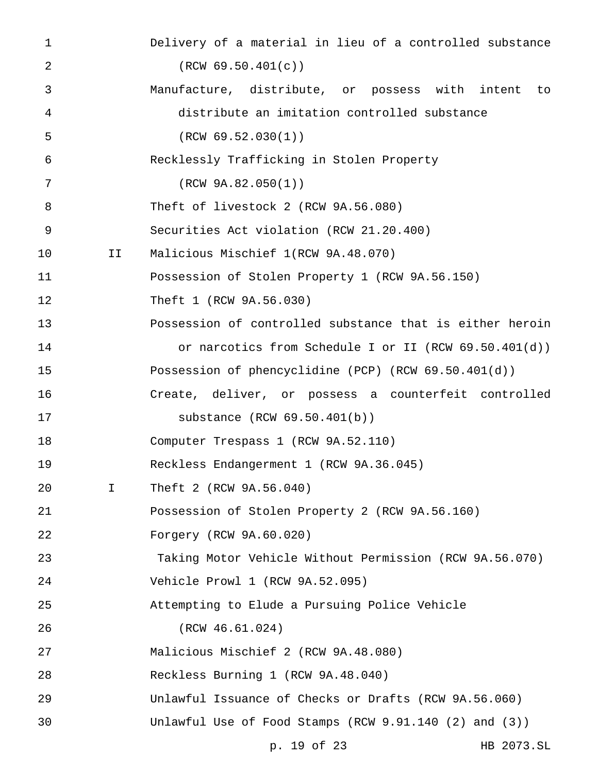| $\mathbf 1$    |             | Delivery of a material in lieu of a controlled substance |
|----------------|-------------|----------------------------------------------------------|
| $\overline{2}$ |             | (RCW 69.50.401(c))                                       |
| 3              |             | Manufacture, distribute, or possess with intent to       |
| 4              |             | distribute an imitation controlled substance             |
| 5              |             | (RCW 69.52.030(1))                                       |
| 6              |             | Recklessly Trafficking in Stolen Property                |
| 7              |             | (RCW 9A.82.050(1))                                       |
| 8              |             | Theft of livestock 2 (RCW 9A.56.080)                     |
| 9              |             | Securities Act violation (RCW 21.20.400)                 |
| 10             | II          | Malicious Mischief 1(RCW 9A.48.070)                      |
| 11             |             | Possession of Stolen Property 1 (RCW 9A.56.150)          |
| 12             |             | Theft 1 (RCW 9A.56.030)                                  |
| 13             |             | Possession of controlled substance that is either heroin |
| 14             |             | or narcotics from Schedule I or II (RCW $69.50.401(d)$ ) |
| 15             |             | Possession of phencyclidine (PCP) (RCW $69.50.401(d)$ )  |
| 16             |             | Create, deliver, or possess a counterfeit controlled     |
| 17             |             | substance (RCW 69.50.401(b))                             |
| 18             |             | Computer Trespass 1 (RCW 9A.52.110)                      |
| 19             |             | Reckless Endangerment 1 (RCW 9A.36.045)                  |
| 20             | $\mathbf I$ | Theft 2 (RCW 9A.56.040)                                  |
| 21             |             | Possession of Stolen Property 2 (RCW 9A.56.160)          |
| 22             |             | Forgery (RCW 9A.60.020)                                  |
| 23             |             | Taking Motor Vehicle Without Permission (RCW 9A.56.070)  |
| 24             |             | Vehicle Prowl 1 (RCW 9A.52.095)                          |
| 25             |             | Attempting to Elude a Pursuing Police Vehicle            |
| 26             |             | (RCW 46.61.024)                                          |
| 27             |             | Malicious Mischief 2 (RCW 9A.48.080)                     |
| 28             |             | Reckless Burning 1 (RCW 9A.48.040)                       |
| 29             |             | Unlawful Issuance of Checks or Drafts (RCW 9A.56.060)    |
| 30             |             | Unlawful Use of Food Stamps (RCW $9.91.140$ (2) and (3)) |
|                |             | p. 19 of 23<br>HB 2073.SL                                |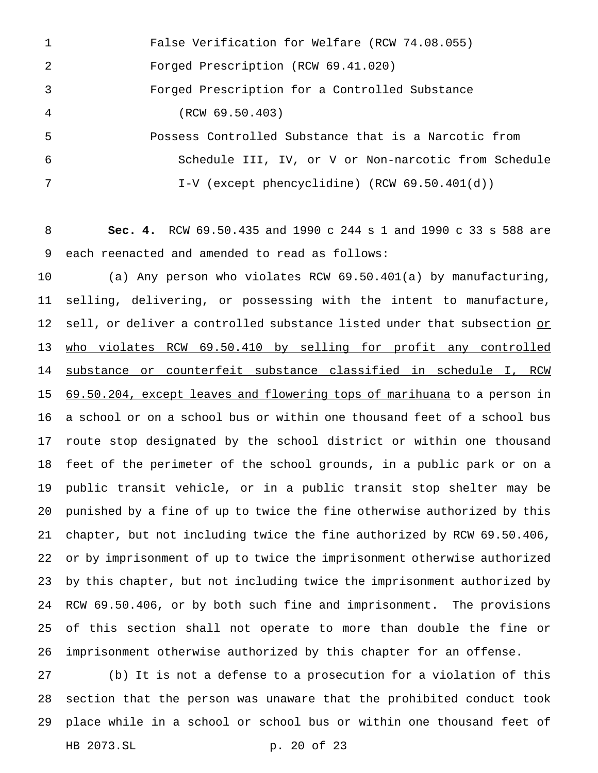| $\overline{1}$ | False Verification for Welfare (RCW 74.08.055)       |
|----------------|------------------------------------------------------|
| 2              | Forged Prescription (RCW 69.41.020)                  |
| $\overline{3}$ | Forged Prescription for a Controlled Substance       |
| $\overline{4}$ | (RCW 69.50.403)                                      |
| -5             | Possess Controlled Substance that is a Narcotic from |
| 6              | Schedule III, IV, or V or Non-narcotic from Schedule |
| 7              | I-V (except phencyclidine) (RCW $69.50.401(d)$ )     |

 **Sec. 4.** RCW 69.50.435 and 1990 c 244 s 1 and 1990 c 33 s 588 are each reenacted and amended to read as follows:

 (a) Any person who violates RCW 69.50.401(a) by manufacturing, selling, delivering, or possessing with the intent to manufacture, 12 sell, or deliver a controlled substance listed under that subsection or who violates RCW 69.50.410 by selling for profit any controlled substance or counterfeit substance classified in schedule I, RCW 15 69.50.204, except leaves and flowering tops of marihuana to a person in a school or on a school bus or within one thousand feet of a school bus route stop designated by the school district or within one thousand feet of the perimeter of the school grounds, in a public park or on a public transit vehicle, or in a public transit stop shelter may be punished by a fine of up to twice the fine otherwise authorized by this chapter, but not including twice the fine authorized by RCW 69.50.406, or by imprisonment of up to twice the imprisonment otherwise authorized by this chapter, but not including twice the imprisonment authorized by RCW 69.50.406, or by both such fine and imprisonment. The provisions of this section shall not operate to more than double the fine or imprisonment otherwise authorized by this chapter for an offense.

 (b) It is not a defense to a prosecution for a violation of this section that the person was unaware that the prohibited conduct took place while in a school or school bus or within one thousand feet of HB 2073.SL p. 20 of 23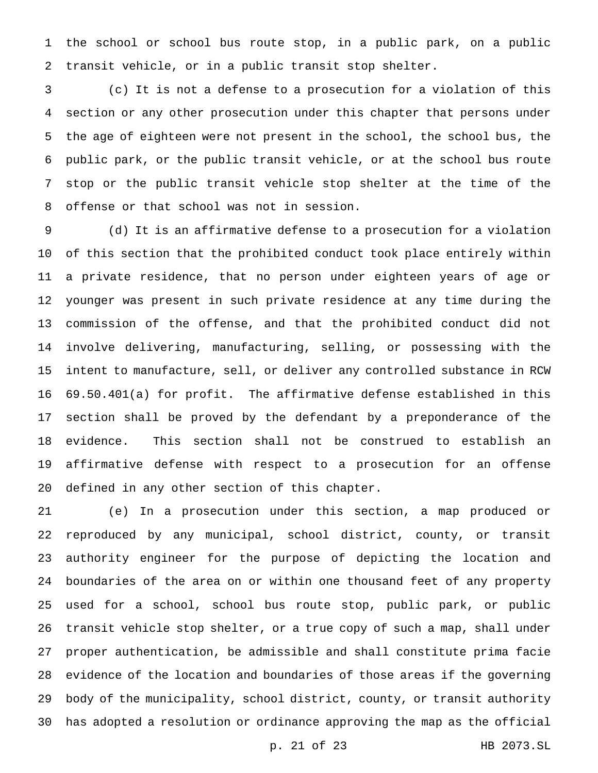the school or school bus route stop, in a public park, on a public transit vehicle, or in a public transit stop shelter.

 (c) It is not a defense to a prosecution for a violation of this section or any other prosecution under this chapter that persons under the age of eighteen were not present in the school, the school bus, the public park, or the public transit vehicle, or at the school bus route stop or the public transit vehicle stop shelter at the time of the offense or that school was not in session.

 (d) It is an affirmative defense to a prosecution for a violation of this section that the prohibited conduct took place entirely within a private residence, that no person under eighteen years of age or younger was present in such private residence at any time during the commission of the offense, and that the prohibited conduct did not involve delivering, manufacturing, selling, or possessing with the intent to manufacture, sell, or deliver any controlled substance in RCW 69.50.401(a) for profit. The affirmative defense established in this section shall be proved by the defendant by a preponderance of the evidence. This section shall not be construed to establish an affirmative defense with respect to a prosecution for an offense defined in any other section of this chapter.

 (e) In a prosecution under this section, a map produced or reproduced by any municipal, school district, county, or transit authority engineer for the purpose of depicting the location and boundaries of the area on or within one thousand feet of any property used for a school, school bus route stop, public park, or public transit vehicle stop shelter, or a true copy of such a map, shall under proper authentication, be admissible and shall constitute prima facie evidence of the location and boundaries of those areas if the governing body of the municipality, school district, county, or transit authority has adopted a resolution or ordinance approving the map as the official

p. 21 of 23 HB 2073.SL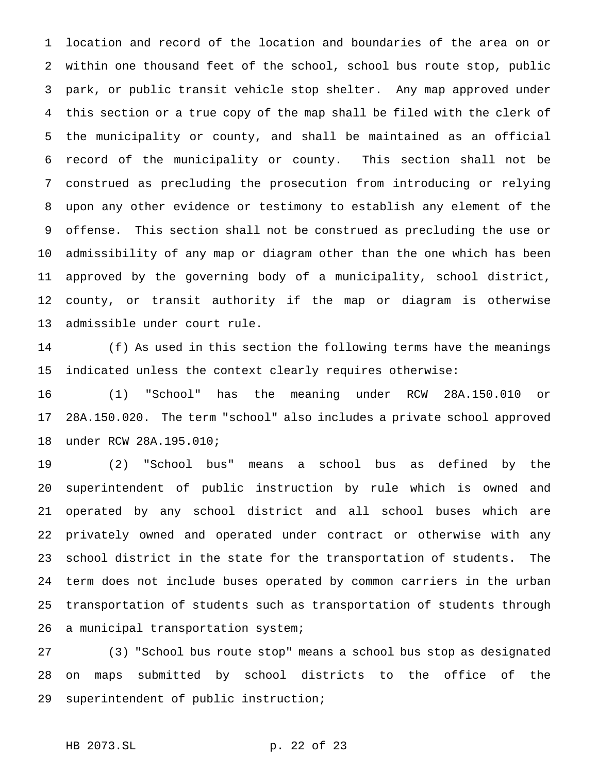location and record of the location and boundaries of the area on or within one thousand feet of the school, school bus route stop, public park, or public transit vehicle stop shelter. Any map approved under this section or a true copy of the map shall be filed with the clerk of the municipality or county, and shall be maintained as an official record of the municipality or county. This section shall not be construed as precluding the prosecution from introducing or relying upon any other evidence or testimony to establish any element of the offense. This section shall not be construed as precluding the use or admissibility of any map or diagram other than the one which has been approved by the governing body of a municipality, school district, county, or transit authority if the map or diagram is otherwise admissible under court rule.

 (f) As used in this section the following terms have the meanings indicated unless the context clearly requires otherwise:

 (1) "School" has the meaning under RCW 28A.150.010 or 28A.150.020. The term "school" also includes a private school approved under RCW 28A.195.010;

 (2) "School bus" means a school bus as defined by the superintendent of public instruction by rule which is owned and operated by any school district and all school buses which are privately owned and operated under contract or otherwise with any school district in the state for the transportation of students. The term does not include buses operated by common carriers in the urban transportation of students such as transportation of students through a municipal transportation system;

 (3) "School bus route stop" means a school bus stop as designated on maps submitted by school districts to the office of the superintendent of public instruction;

HB 2073.SL p. 22 of 23